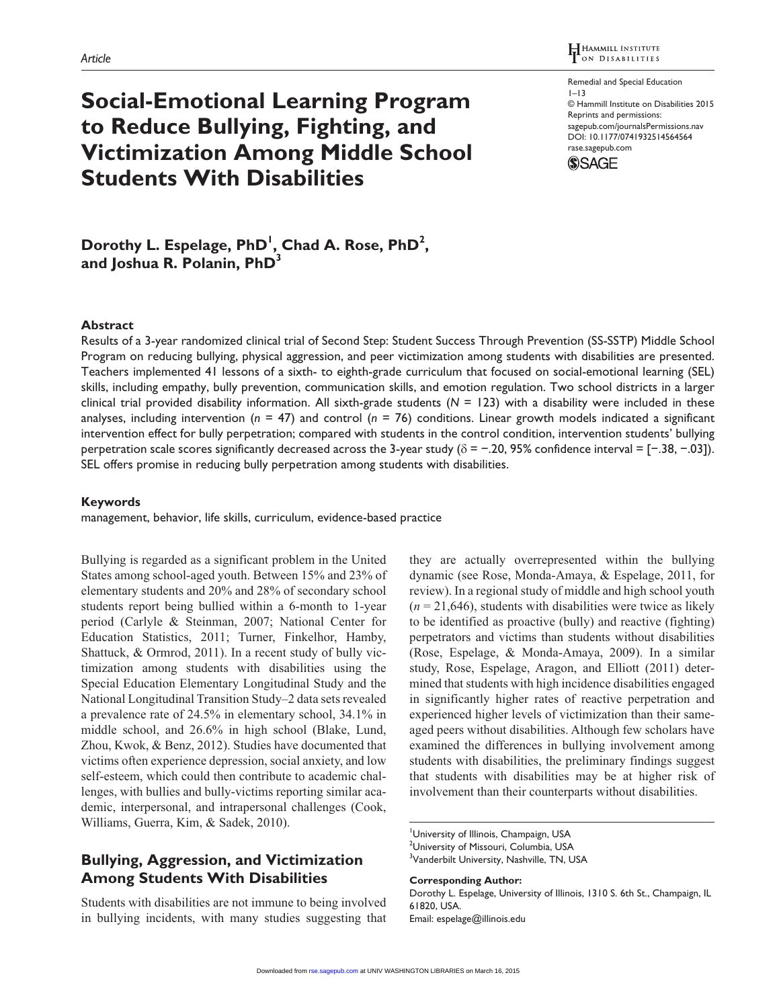# **Social-Emotional Learning Program to Reduce Bullying, Fighting, and Victimization Among Middle School Students With Disabilities**

Remedial and Special Education  $1 - 13$ © Hammill Institute on Disabilities 2015 Reprints and permissions: sagepub.com/journalsPermissions.nav DOI: 10.1177/0741932514564564 rase.sagepub.com **SSAGE** 

## Dorothy L. Espelage, PhD<sup>1</sup>, Chad A. Rose, PhD<sup>2</sup>, and Joshua R. Polanin, PhD<sup>3</sup>

#### **Abstract**

Results of a 3-year randomized clinical trial of Second Step: Student Success Through Prevention (SS-SSTP) Middle School Program on reducing bullying, physical aggression, and peer victimization among students with disabilities are presented. Teachers implemented 41 lessons of a sixth- to eighth-grade curriculum that focused on social-emotional learning (SEL) skills, including empathy, bully prevention, communication skills, and emotion regulation. Two school districts in a larger clinical trial provided disability information. All sixth-grade students (*N* = 123) with a disability were included in these analyses, including intervention (*n* = 47) and control (*n* = 76) conditions. Linear growth models indicated a significant intervention effect for bully perpetration; compared with students in the control condition, intervention students' bullying perpetration scale scores significantly decreased across the 3-year study ( $\delta$  = −.20, 95% confidence interval = [−.38, −.03]). SEL offers promise in reducing bully perpetration among students with disabilities.

#### **Keywords**

management, behavior, life skills, curriculum, evidence-based practice

Bullying is regarded as a significant problem in the United States among school-aged youth. Between 15% and 23% of elementary students and 20% and 28% of secondary school students report being bullied within a 6-month to 1-year period (Carlyle & Steinman, 2007; National Center for Education Statistics, 2011; Turner, Finkelhor, Hamby, Shattuck, & Ormrod, 2011). In a recent study of bully victimization among students with disabilities using the Special Education Elementary Longitudinal Study and the National Longitudinal Transition Study–2 data sets revealed a prevalence rate of 24.5% in elementary school, 34.1% in middle school, and 26.6% in high school (Blake, Lund, Zhou, Kwok, & Benz, 2012). Studies have documented that victims often experience depression, social anxiety, and low self-esteem, which could then contribute to academic challenges, with bullies and bully-victims reporting similar academic, interpersonal, and intrapersonal challenges (Cook, Williams, Guerra, Kim, & Sadek, 2010).

## **Bullying, Aggression, and Victimization Among Students With Disabilities**

Students with disabilities are not immune to being involved in bullying incidents, with many studies suggesting that they are actually overrepresented within the bullying dynamic (see Rose, Monda-Amaya, & Espelage, 2011, for review). In a regional study of middle and high school youth  $(n = 21,646)$ , students with disabilities were twice as likely to be identified as proactive (bully) and reactive (fighting) perpetrators and victims than students without disabilities (Rose, Espelage, & Monda-Amaya, 2009). In a similar study, Rose, Espelage, Aragon, and Elliott (2011) determined that students with high incidence disabilities engaged in significantly higher rates of reactive perpetration and experienced higher levels of victimization than their sameaged peers without disabilities. Although few scholars have examined the differences in bullying involvement among students with disabilities, the preliminary findings suggest that students with disabilities may be at higher risk of involvement than their counterparts without disabilities.

University of Illinois, Champaign, USA 2 University of Missouri, Columbia, USA <sup>3</sup>Vanderbilt University, Nashville, TN, USA

**Corresponding Author:** Dorothy L. Espelage, University of Illinois, 1310 S. 6th St., Champaign, IL 61820, USA.

Email: [espelage@illinois.edu](mailto:espelage@illinois.edu)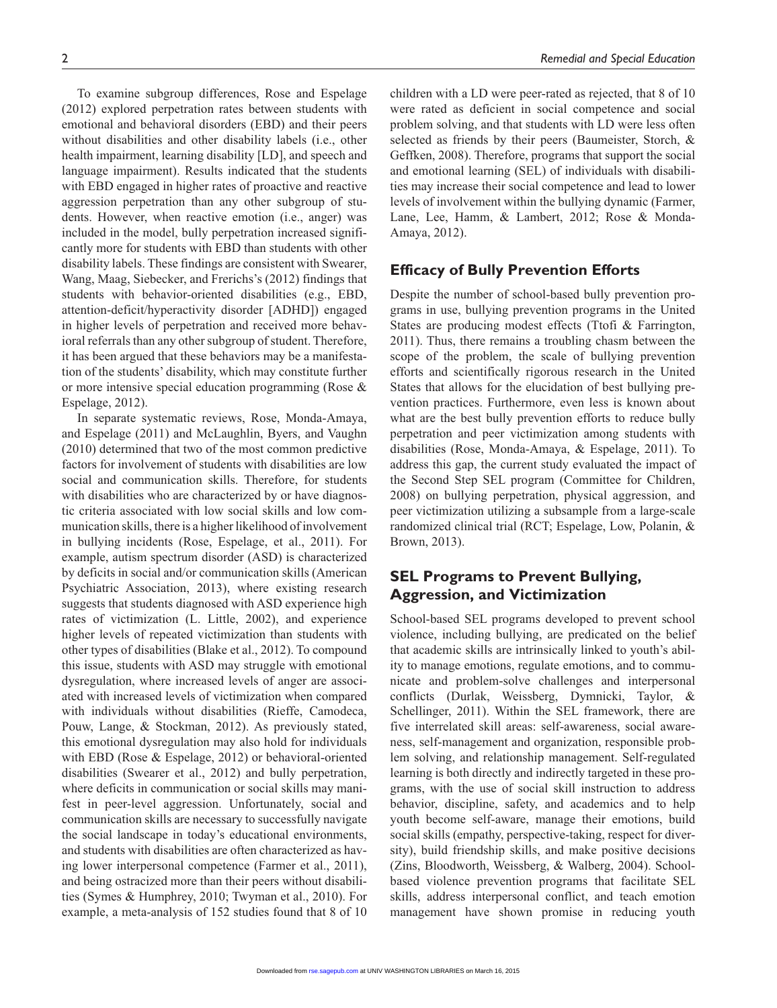To examine subgroup differences, Rose and Espelage (2012) explored perpetration rates between students with emotional and behavioral disorders (EBD) and their peers without disabilities and other disability labels (i.e., other health impairment, learning disability [LD], and speech and language impairment). Results indicated that the students with EBD engaged in higher rates of proactive and reactive aggression perpetration than any other subgroup of students. However, when reactive emotion (i.e., anger) was included in the model, bully perpetration increased significantly more for students with EBD than students with other disability labels. These findings are consistent with Swearer, Wang, Maag, Siebecker, and Frerichs's (2012) findings that students with behavior-oriented disabilities (e.g., EBD, attention-deficit/hyperactivity disorder [ADHD]) engaged in higher levels of perpetration and received more behavioral referrals than any other subgroup of student. Therefore, it has been argued that these behaviors may be a manifestation of the students' disability, which may constitute further or more intensive special education programming (Rose & Espelage, 2012).

In separate systematic reviews, Rose, Monda-Amaya, and Espelage (2011) and McLaughlin, Byers, and Vaughn (2010) determined that two of the most common predictive factors for involvement of students with disabilities are low social and communication skills. Therefore, for students with disabilities who are characterized by or have diagnostic criteria associated with low social skills and low communication skills, there is a higher likelihood of involvement in bullying incidents (Rose, Espelage, et al., 2011). For example, autism spectrum disorder (ASD) is characterized by deficits in social and/or communication skills (American Psychiatric Association, 2013), where existing research suggests that students diagnosed with ASD experience high rates of victimization (L. Little, 2002), and experience higher levels of repeated victimization than students with other types of disabilities (Blake et al., 2012). To compound this issue, students with ASD may struggle with emotional dysregulation, where increased levels of anger are associated with increased levels of victimization when compared with individuals without disabilities (Rieffe, Camodeca, Pouw, Lange, & Stockman, 2012). As previously stated, this emotional dysregulation may also hold for individuals with EBD (Rose & Espelage, 2012) or behavioral-oriented disabilities (Swearer et al., 2012) and bully perpetration, where deficits in communication or social skills may manifest in peer-level aggression. Unfortunately, social and communication skills are necessary to successfully navigate the social landscape in today's educational environments, and students with disabilities are often characterized as having lower interpersonal competence (Farmer et al., 2011), and being ostracized more than their peers without disabilities (Symes & Humphrey, 2010; Twyman et al., 2010). For example, a meta-analysis of 152 studies found that 8 of 10

children with a LD were peer-rated as rejected, that 8 of 10 were rated as deficient in social competence and social problem solving, and that students with LD were less often selected as friends by their peers (Baumeister, Storch, & Geffken, 2008). Therefore, programs that support the social and emotional learning (SEL) of individuals with disabilities may increase their social competence and lead to lower levels of involvement within the bullying dynamic (Farmer, Lane, Lee, Hamm, & Lambert, 2012; Rose & Monda-Amaya, 2012).

## **Efficacy of Bully Prevention Efforts**

Despite the number of school-based bully prevention programs in use, bullying prevention programs in the United States are producing modest effects (Ttofi & Farrington, 2011). Thus, there remains a troubling chasm between the scope of the problem, the scale of bullying prevention efforts and scientifically rigorous research in the United States that allows for the elucidation of best bullying prevention practices. Furthermore, even less is known about what are the best bully prevention efforts to reduce bully perpetration and peer victimization among students with disabilities (Rose, Monda-Amaya, & Espelage, 2011). To address this gap, the current study evaluated the impact of the Second Step SEL program (Committee for Children, 2008) on bullying perpetration, physical aggression, and peer victimization utilizing a subsample from a large-scale randomized clinical trial (RCT; Espelage, Low, Polanin, & Brown, 2013).

## **SEL Programs to Prevent Bullying, Aggression, and Victimization**

School-based SEL programs developed to prevent school violence, including bullying, are predicated on the belief that academic skills are intrinsically linked to youth's ability to manage emotions, regulate emotions, and to communicate and problem-solve challenges and interpersonal conflicts (Durlak, Weissberg, Dymnicki, Taylor, & Schellinger, 2011). Within the SEL framework, there are five interrelated skill areas: self-awareness, social awareness, self-management and organization, responsible problem solving, and relationship management. Self-regulated learning is both directly and indirectly targeted in these programs, with the use of social skill instruction to address behavior, discipline, safety, and academics and to help youth become self-aware, manage their emotions, build social skills (empathy, perspective-taking, respect for diversity), build friendship skills, and make positive decisions (Zins, Bloodworth, Weissberg, & Walberg, 2004). Schoolbased violence prevention programs that facilitate SEL skills, address interpersonal conflict, and teach emotion management have shown promise in reducing youth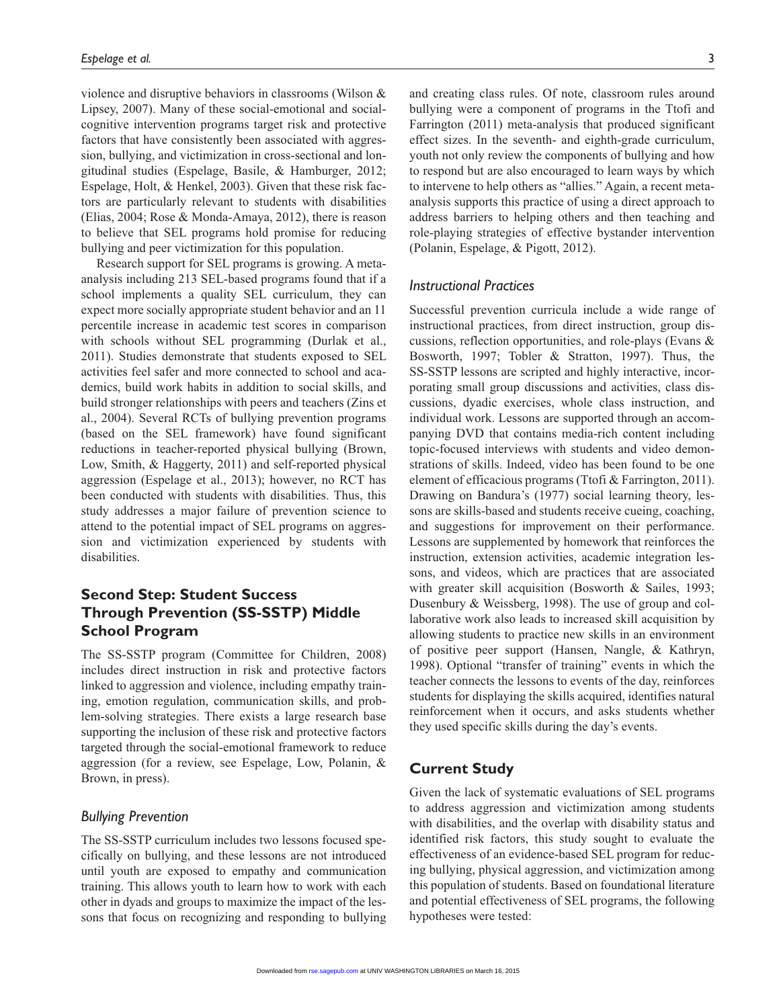violence and disruptive behaviors in classrooms (Wilson & Lipsey, 2007). Many of these social-emotional and socialcognitive intervention programs target risk and protective factors that have consistently been associated with aggression, bullying, and victimization in cross-sectional and longitudinal studies (Espelage, Basile, & Hamburger, 2012; Espelage, Holt, & Henkel, 2003). Given that these risk factors are particularly relevant to students with disabilities (Elias, 2004; Rose & Monda-Amaya, 2012), there is reason to believe that SEL programs hold promise for reducing bullying and peer victimization for this population.

Research support for SEL programs is growing. A metaanalysis including 213 SEL-based programs found that if a school implements a quality SEL curriculum, they can expect more socially appropriate student behavior and an 11 percentile increase in academic test scores in comparison with schools without SEL programming (Durlak et al., 2011). Studies demonstrate that students exposed to SEL activities feel safer and more connected to school and academics, build work habits in addition to social skills, and build stronger relationships with peers and teachers (Zins et al., 2004). Several RCTs of bullying prevention programs (based on the SEL framework) have found significant reductions in teacher-reported physical bullying (Brown, Low, Smith, & Haggerty, 2011) and self-reported physical aggression (Espelage et al., 2013); however, no RCT has been conducted with students with disabilities. Thus, this study addresses a major failure of prevention science to attend to the potential impact of SEL programs on aggression and victimization experienced by students with disabilities.

## **Second Step: Student Success Through Prevention (SS-SSTP) Middle School Program**

The SS-SSTP program (Committee for Children, 2008) includes direct instruction in risk and protective factors linked to aggression and violence, including empathy training, emotion regulation, communication skills, and problem-solving strategies. There exists a large research base supporting the inclusion of these risk and protective factors targeted through the social-emotional framework to reduce aggression (for a review, see Espelage, Low, Polanin, & Brown, in press).

#### *Bullying Prevention*

The SS-SSTP curriculum includes two lessons focused specifically on bullying, and these lessons are not introduced until youth are exposed to empathy and communication training. This allows youth to learn how to work with each other in dyads and groups to maximize the impact of the lessons that focus on recognizing and responding to bullying and creating class rules. Of note, classroom rules around bullying were a component of programs in the Ttofi and Farrington (2011) meta-analysis that produced significant effect sizes. In the seventh- and eighth-grade curriculum, youth not only review the components of bullying and how to respond but are also encouraged to learn ways by which to intervene to help others as "allies." Again, a recent metaanalysis supports this practice of using a direct approach to address barriers to helping others and then teaching and role-playing strategies of effective bystander intervention

#### *Instructional Practices*

(Polanin, Espelage, & Pigott, 2012).

Successful prevention curricula include a wide range of instructional practices, from direct instruction, group discussions, reflection opportunities, and role-plays (Evans & Bosworth, 1997; Tobler & Stratton, 1997). Thus, the SS-SSTP lessons are scripted and highly interactive, incorporating small group discussions and activities, class discussions, dyadic exercises, whole class instruction, and individual work. Lessons are supported through an accompanying DVD that contains media-rich content including topic-focused interviews with students and video demonstrations of skills. Indeed, video has been found to be one element of efficacious programs (Ttofi & Farrington, 2011). Drawing on Bandura's (1977) social learning theory, lessons are skills-based and students receive cueing, coaching, and suggestions for improvement on their performance. Lessons are supplemented by homework that reinforces the instruction, extension activities, academic integration lessons, and videos, which are practices that are associated with greater skill acquisition (Bosworth & Sailes, 1993; Dusenbury & Weissberg, 1998). The use of group and collaborative work also leads to increased skill acquisition by allowing students to practice new skills in an environment of positive peer support (Hansen, Nangle, & Kathryn, 1998). Optional "transfer of training" events in which the teacher connects the lessons to events of the day, reinforces students for displaying the skills acquired, identifies natural reinforcement when it occurs, and asks students whether they used specific skills during the day's events.

#### **Current Study**

Given the lack of systematic evaluations of SEL programs to address aggression and victimization among students with disabilities, and the overlap with disability status and identified risk factors, this study sought to evaluate the effectiveness of an evidence-based SEL program for reducing bullying, physical aggression, and victimization among this population of students. Based on foundational literature and potential effectiveness of SEL programs, the following hypotheses were tested: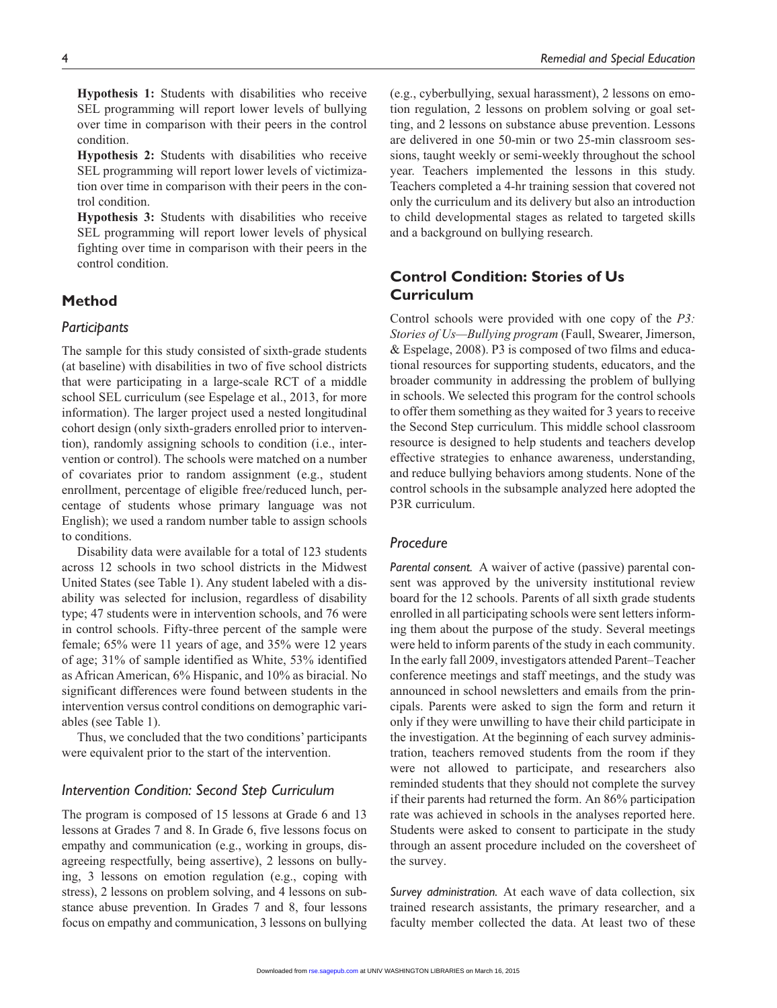**Hypothesis 1:** Students with disabilities who receive SEL programming will report lower levels of bullying over time in comparison with their peers in the control condition.

**Hypothesis 2:** Students with disabilities who receive SEL programming will report lower levels of victimization over time in comparison with their peers in the control condition.

**Hypothesis 3:** Students with disabilities who receive SEL programming will report lower levels of physical fighting over time in comparison with their peers in the control condition.

## **Method**

#### *Participants*

The sample for this study consisted of sixth-grade students (at baseline) with disabilities in two of five school districts that were participating in a large-scale RCT of a middle school SEL curriculum (see Espelage et al., 2013, for more information). The larger project used a nested longitudinal cohort design (only sixth-graders enrolled prior to intervention), randomly assigning schools to condition (i.e., intervention or control). The schools were matched on a number of covariates prior to random assignment (e.g., student enrollment, percentage of eligible free/reduced lunch, percentage of students whose primary language was not English); we used a random number table to assign schools to conditions.

Disability data were available for a total of 123 students across 12 schools in two school districts in the Midwest United States (see Table 1). Any student labeled with a disability was selected for inclusion, regardless of disability type; 47 students were in intervention schools, and 76 were in control schools. Fifty-three percent of the sample were female; 65% were 11 years of age, and 35% were 12 years of age; 31% of sample identified as White, 53% identified as African American, 6% Hispanic, and 10% as biracial. No significant differences were found between students in the intervention versus control conditions on demographic variables (see Table 1).

Thus, we concluded that the two conditions' participants were equivalent prior to the start of the intervention.

#### *Intervention Condition: Second Step Curriculum*

The program is composed of 15 lessons at Grade 6 and 13 lessons at Grades 7 and 8. In Grade 6, five lessons focus on empathy and communication (e.g., working in groups, disagreeing respectfully, being assertive), 2 lessons on bullying, 3 lessons on emotion regulation (e.g., coping with stress), 2 lessons on problem solving, and 4 lessons on substance abuse prevention. In Grades 7 and 8, four lessons focus on empathy and communication, 3 lessons on bullying

(e.g., cyberbullying, sexual harassment), 2 lessons on emotion regulation, 2 lessons on problem solving or goal setting, and 2 lessons on substance abuse prevention. Lessons are delivered in one 50-min or two 25-min classroom sessions, taught weekly or semi-weekly throughout the school year. Teachers implemented the lessons in this study. Teachers completed a 4-hr training session that covered not only the curriculum and its delivery but also an introduction to child developmental stages as related to targeted skills and a background on bullying research.

## **Control Condition: Stories of Us Curriculum**

Control schools were provided with one copy of the *P3: Stories of Us—Bullying program* (Faull, Swearer, Jimerson, & Espelage, 2008). P3 is composed of two films and educational resources for supporting students, educators, and the broader community in addressing the problem of bullying in schools. We selected this program for the control schools to offer them something as they waited for 3 years to receive the Second Step curriculum. This middle school classroom resource is designed to help students and teachers develop effective strategies to enhance awareness, understanding, and reduce bullying behaviors among students. None of the control schools in the subsample analyzed here adopted the P3R curriculum.

## *Procedure*

*Parental consent.* A waiver of active (passive) parental consent was approved by the university institutional review board for the 12 schools. Parents of all sixth grade students enrolled in all participating schools were sent letters informing them about the purpose of the study. Several meetings were held to inform parents of the study in each community. In the early fall 2009, investigators attended Parent–Teacher conference meetings and staff meetings, and the study was announced in school newsletters and emails from the principals. Parents were asked to sign the form and return it only if they were unwilling to have their child participate in the investigation. At the beginning of each survey administration, teachers removed students from the room if they were not allowed to participate, and researchers also reminded students that they should not complete the survey if their parents had returned the form. An 86% participation rate was achieved in schools in the analyses reported here. Students were asked to consent to participate in the study through an assent procedure included on the coversheet of the survey.

*Survey administration.* At each wave of data collection, six trained research assistants, the primary researcher, and a faculty member collected the data. At least two of these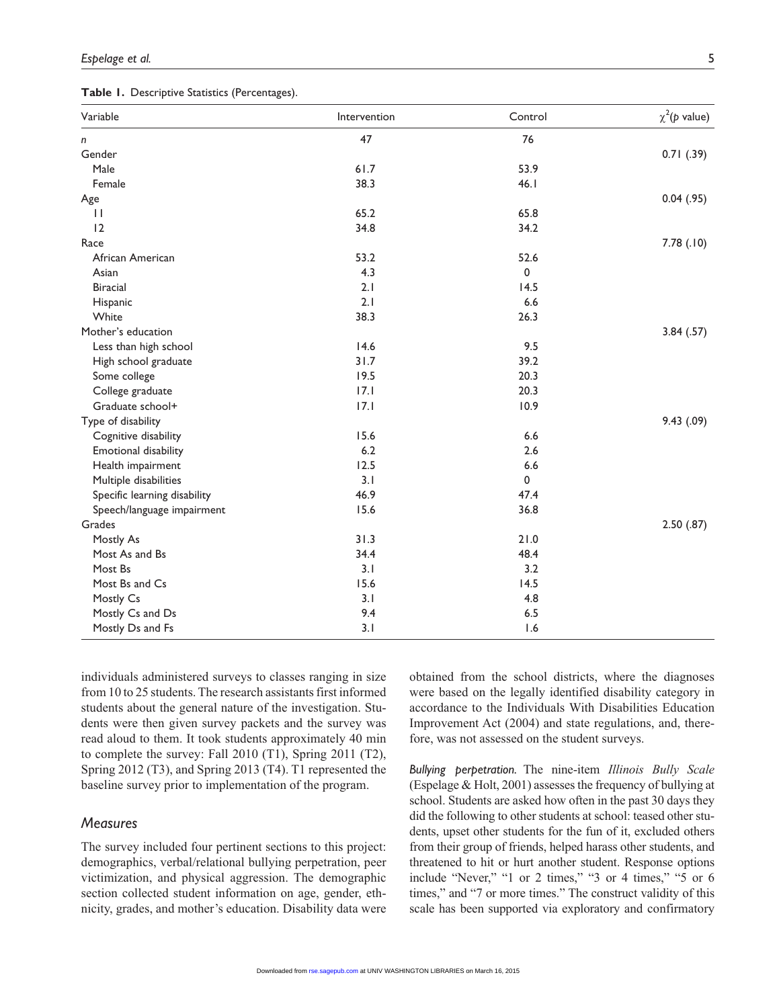|  |  | Table I. Descriptive Statistics (Percentages). |  |  |  |
|--|--|------------------------------------------------|--|--|--|
|--|--|------------------------------------------------|--|--|--|

| Variable                     | Intervention | Control     | $\chi^2$ ( <i>p</i> value) |
|------------------------------|--------------|-------------|----------------------------|
| n                            | 47           | 76          |                            |
| Gender                       |              |             | 0.71(0.39)                 |
| Male                         | 61.7         | 53.9        |                            |
| Female                       | 38.3         | 46.1        |                            |
| Age                          |              |             | 0.04(.95)                  |
| $\mathbf{1}$                 | 65.2         | 65.8        |                            |
| 12                           | 34.8         | 34.2        |                            |
| Race                         |              |             | 7.78(.10)                  |
| African American             | 53.2         | 52.6        |                            |
| Asian                        | 4.3          | $\mathbf 0$ |                            |
| <b>Biracial</b>              | 2.1          | 14.5        |                            |
| Hispanic                     | 2.1          | 6.6         |                            |
| White                        | 38.3         | 26.3        |                            |
| Mother's education           |              |             | 3.84(.57)                  |
| Less than high school        | 14.6         | 9.5         |                            |
| High school graduate         | 31.7         | 39.2        |                            |
| Some college                 | 19.5         | 20.3        |                            |
| College graduate             | 17.1         | 20.3        |                            |
| Graduate school+             | 17.1         | 10.9        |                            |
| Type of disability           |              |             | 9.43(.09)                  |
| Cognitive disability         | 15.6         | 6.6         |                            |
| Emotional disability         | 6.2          | 2.6         |                            |
| Health impairment            | 12.5         | 6.6         |                            |
| Multiple disabilities        | 3.1          | 0           |                            |
| Specific learning disability | 46.9         | 47.4        |                            |
| Speech/language impairment   | 15.6         | 36.8        |                            |
| Grades                       |              |             | 2.50(.87)                  |
| Mostly As                    | 31.3         | 21.0        |                            |
| Most As and Bs               | 34.4         | 48.4        |                            |
| Most Bs                      | 3.1          | 3.2         |                            |
| Most Bs and Cs               | 15.6         | 14.5        |                            |
| Mostly Cs                    | 3.1          | 4.8         |                            |
| Mostly Cs and Ds             | 9.4          | 6.5         |                            |
| Mostly Ds and Fs             | 3.1          | 1.6         |                            |

individuals administered surveys to classes ranging in size from 10 to 25 students. The research assistants first informed students about the general nature of the investigation. Students were then given survey packets and the survey was read aloud to them. It took students approximately 40 min to complete the survey: Fall 2010 (T1), Spring 2011 (T2), Spring 2012 (T3), and Spring 2013 (T4). T1 represented the baseline survey prior to implementation of the program.

#### *Measures*

The survey included four pertinent sections to this project: demographics, verbal/relational bullying perpetration, peer victimization, and physical aggression. The demographic section collected student information on age, gender, ethnicity, grades, and mother's education. Disability data were obtained from the school districts, where the diagnoses were based on the legally identified disability category in accordance to the Individuals With Disabilities Education Improvement Act (2004) and state regulations, and, therefore, was not assessed on the student surveys.

*Bullying perpetration.* The nine-item *Illinois Bully Scale* (Espelage & Holt, 2001) assesses the frequency of bullying at school. Students are asked how often in the past 30 days they did the following to other students at school: teased other students, upset other students for the fun of it, excluded others from their group of friends, helped harass other students, and threatened to hit or hurt another student. Response options include "Never," "1 or 2 times," "3 or 4 times," "5 or 6 times," and "7 or more times." The construct validity of this scale has been supported via exploratory and confirmatory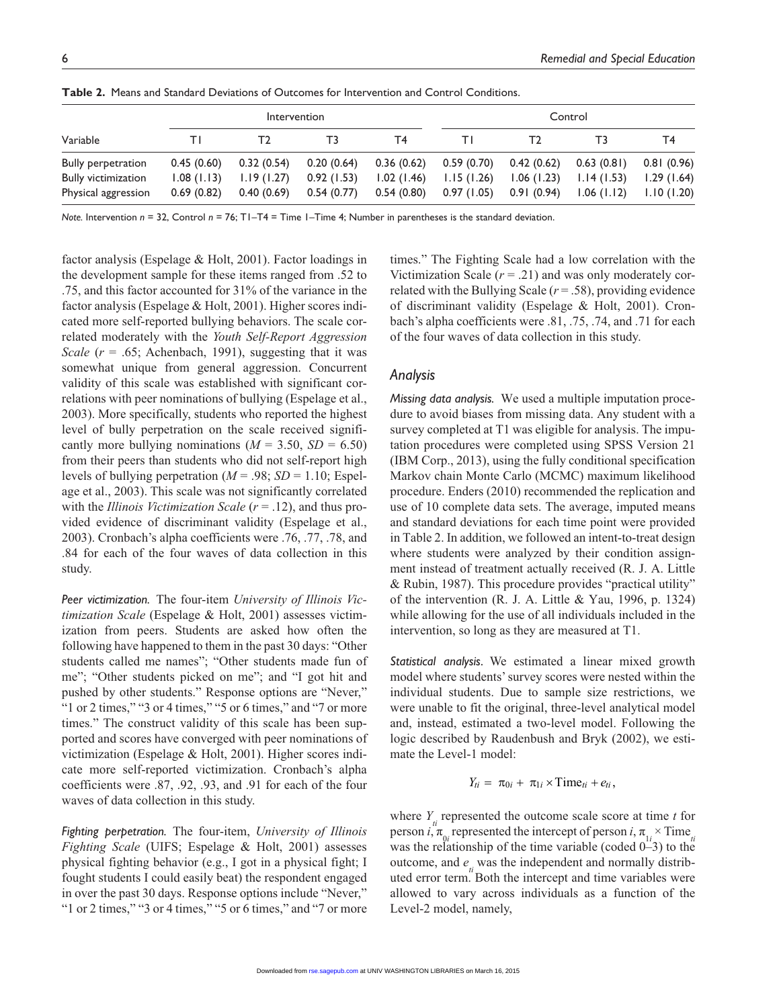| Variable                   | Intervention |             |            |            | Control                   |            |            |            |
|----------------------------|--------------|-------------|------------|------------|---------------------------|------------|------------|------------|
|                            |              |             |            | Τ4         |                           |            |            | T4         |
| <b>Bully perpetration</b>  | 0.45(0.60)   | 0.32(0.54)  | 0.20(0.64) |            | $0.36(0.62)$ $0.59(0.70)$ | 0.42(0.62) | 0.63(0.81) | 0.81(0.96) |
| <b>Bully victimization</b> | 1.08(1.13)   | 1.19(1.27)  | 0.92(1.53) | 1.02(1.46) | 1.15(1.26)                | 1.06(1.23) | 1.14(1.53) | 1.29(1.64) |
| Physical aggression        | 0.69(0.82)   | 0.40 (0.69) | 0.54(0.77) | 0.54(0.80) | 0.97(1.05)                | 0.91(0.94) | 1.06(1.12) | 1.10(1.20) |

**Table 2.** Means and Standard Deviations of Outcomes for Intervention and Control Conditions.

*Note.* Intervention  $n = 32$ , Control  $n = 76$ ; T1–T4 = Time 1–Time 4; Number in parentheses is the standard deviation.

factor analysis (Espelage & Holt, 2001). Factor loadings in the development sample for these items ranged from .52 to .75, and this factor accounted for 31% of the variance in the factor analysis (Espelage & Holt, 2001). Higher scores indicated more self-reported bullying behaviors. The scale correlated moderately with the *Youth Self-Report Aggression Scale* ( $r = .65$ ; Achenbach, 1991), suggesting that it was somewhat unique from general aggression. Concurrent validity of this scale was established with significant correlations with peer nominations of bullying (Espelage et al., 2003). More specifically, students who reported the highest level of bully perpetration on the scale received significantly more bullying nominations ( $M = 3.50$ ,  $SD = 6.50$ ) from their peers than students who did not self-report high levels of bullying perpetration  $(M = .98; SD = 1.10; Espel$ age et al., 2003). This scale was not significantly correlated with the *Illinois Victimization Scale* (*r* = .12), and thus provided evidence of discriminant validity (Espelage et al., 2003). Cronbach's alpha coefficients were .76, .77, .78, and .84 for each of the four waves of data collection in this study.

*Peer victimization.* The four-item *University of Illinois Victimization Scale* (Espelage & Holt, 2001) assesses victimization from peers. Students are asked how often the following have happened to them in the past 30 days: "Other students called me names"; "Other students made fun of me"; "Other students picked on me"; and "I got hit and pushed by other students." Response options are "Never," " $1$  or  $2$  times," " $3$  or  $4$  times," " $5$  or  $6$  times," and " $7$  or more times." The construct validity of this scale has been supported and scores have converged with peer nominations of victimization (Espelage & Holt, 2001). Higher scores indicate more self-reported victimization. Cronbach's alpha coefficients were .87, .92, .93, and .91 for each of the four waves of data collection in this study.

*Fighting perpetration.* The four-item, *University of Illinois Fighting Scale* (UIFS; Espelage & Holt, 2001) assesses physical fighting behavior (e.g., I got in a physical fight; I fought students I could easily beat) the respondent engaged in over the past 30 days. Response options include "Never," " $1$  or  $2$  times," " $3$  or  $4$  times," " $5$  or  $6$  times," and " $7$  or more

times." The Fighting Scale had a low correlation with the Victimization Scale  $(r = .21)$  and was only moderately correlated with the Bullying Scale  $(r = .58)$ , providing evidence of discriminant validity (Espelage & Holt, 2001). Cronbach's alpha coefficients were .81, .75, .74, and .71 for each of the four waves of data collection in this study.

#### *Analysis*

*Missing data analysis.* We used a multiple imputation procedure to avoid biases from missing data. Any student with a survey completed at T1 was eligible for analysis. The imputation procedures were completed using SPSS Version 21 (IBM Corp., 2013), using the fully conditional specification Markov chain Monte Carlo (MCMC) maximum likelihood procedure. Enders (2010) recommended the replication and use of 10 complete data sets. The average, imputed means and standard deviations for each time point were provided in Table 2. In addition, we followed an intent-to-treat design where students were analyzed by their condition assignment instead of treatment actually received (R. J. A. Little & Rubin, 1987). This procedure provides "practical utility" of the intervention (R. J. A. Little & Yau, 1996, p. 1324) while allowing for the use of all individuals included in the intervention, so long as they are measured at T1.

*Statistical analysis.* We estimated a linear mixed growth model where students' survey scores were nested within the individual students. Due to sample size restrictions, we were unable to fit the original, three-level analytical model and, instead, estimated a two-level model. Following the logic described by Raudenbush and Bryk (2002), we estimate the Level-1 model:

$$
Y_{ti} = \pi_{0i} + \pi_{1i} \times \text{Time}_{ti} + e_{ti},
$$

where  $Y_i$  represented the outcome scale score at time  $t$  for person *i*,  $\pi_{0i}$  represented the intercept of person *i*,  $\pi_{1i} \times \text{Time}_{ti}$ was the relationship of the time variable (coded  $0-3$ ) to the outcome, and  $e_{ti}$  was the independent and normally distributed error term. Both the intercept and time variables were allowed to vary across individuals as a function of the Level-2 model, namely,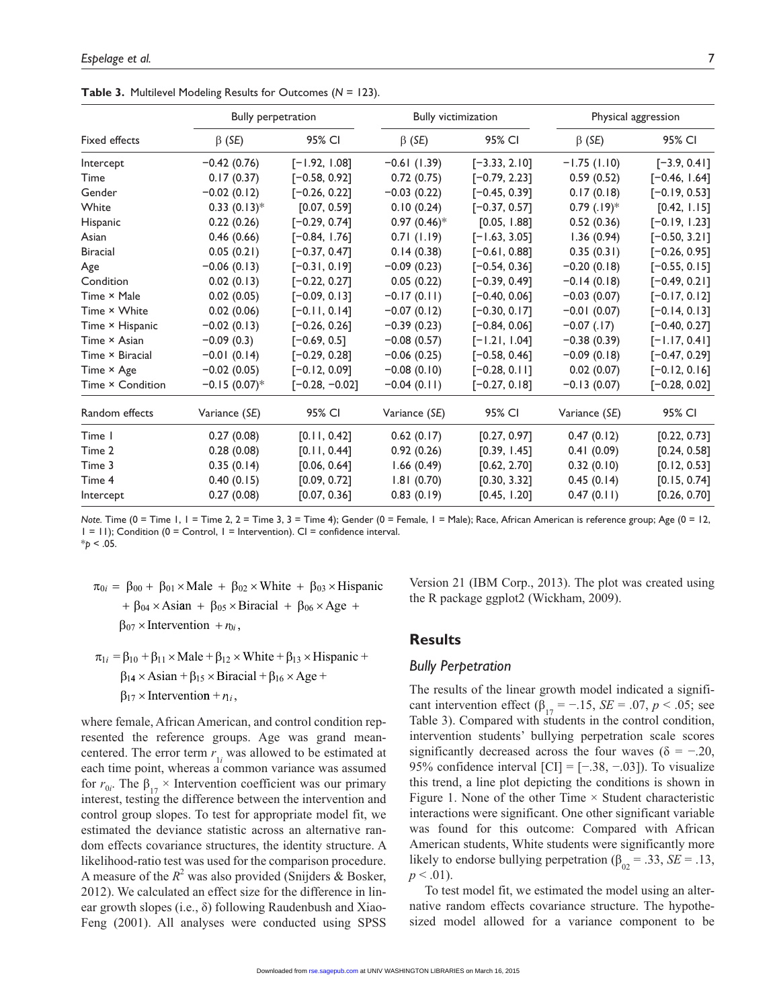**Table 3.** Multilevel Modeling Results for Outcomes (*N* = 123).

|                      | <b>Bully perpetration</b> |                  | <b>Bully victimization</b> |                 | Physical aggression |                 |  |
|----------------------|---------------------------|------------------|----------------------------|-----------------|---------------------|-----------------|--|
| <b>Fixed effects</b> | $\beta$ (SE)              | 95% CI           | $\beta$ (SE)               | 95% CI          | $\beta$ (SE)        | 95% CI          |  |
| Intercept            | $-0.42(0.76)$             | $[-1.92, 1.08]$  | $-0.61(1.39)$              | $[-3.33, 2.10]$ | $-1.75(1.10)$       | $[-3.9, 0.4]$   |  |
| Time                 | 0.17(0.37)                | $[-0.58, 0.92]$  | 0.72(0.75)                 | $[-0.79, 2.23]$ | 0.59(0.52)          | $[-0.46, 1.64]$ |  |
| Gender               | $-0.02(0.12)$             | $[-0.26, 0.22]$  | $-0.03(0.22)$              | $[-0.45, 0.39]$ | 0.17(0.18)          | $[-0.19, 0.53]$ |  |
| White                | $0.33(0.13)*$             | [0.07, 0.59]     | 0.10(0.24)                 | $[-0.37, 0.57]$ | $0.79$ $(.19)*$     | [0.42, 1.15]    |  |
| Hispanic             | 0.22(0.26)                | $[-0.29, 0.74]$  | $0.97(0.46)$ *             | [0.05, 1.88]    | 0.52(0.36)          | $[-0.19, 1.23]$ |  |
| Asian                | 0.46(0.66)                | $[-0.84, 1.76]$  | 0.71(1.19)                 | $[-1.63, 3.05]$ | 1.36(0.94)          | $[-0.50, 3.21]$ |  |
| <b>Biracial</b>      | 0.05(0.21)                | $[-0.37, 0.47]$  | 0.14(0.38)                 | $[-0.61, 0.88]$ | 0.35(0.31)          | $[-0.26, 0.95]$ |  |
| Age                  | $-0.06(0.13)$             | $[-0.31, 0.19]$  | $-0.09(0.23)$              | $[-0.54, 0.36]$ | $-0.20(0.18)$       | $[-0.55, 0.15]$ |  |
| Condition            | 0.02(0.13)                | $[-0.22, 0.27]$  | 0.05(0.22)                 | $[-0.39, 0.49]$ | $-0.14(0.18)$       | $[-0.49, 0.21]$ |  |
| Time × Male          | 0.02(0.05)                | $[-0.09, 0.13]$  | $-0.17(0.11)$              | $[-0.40, 0.06]$ | $-0.03(0.07)$       | $[-0.17, 0.12]$ |  |
| Time × White         | 0.02(0.06)                | $[-0.11, 0.14]$  | $-0.07(0.12)$              | $[-0.30, 0.17]$ | $-0.01(0.07)$       | $[-0.14, 0.13]$ |  |
| Time × Hispanic      | $-0.02(0.13)$             | $[-0.26, 0.26]$  | $-0.39(0.23)$              | $[-0.84, 0.06]$ | $-0.07$ (.17)       | $[-0.40, 0.27]$ |  |
| Time × Asian         | $-0.09(0.3)$              | $[-0.69, 0.5]$   | $-0.08(0.57)$              | $[-1.21, 1.04]$ | $-0.38(0.39)$       | $[-1.17, 0.41]$ |  |
| Time × Biracial      | $-0.01(0.14)$             | $[-0.29, 0.28]$  | $-0.06(0.25)$              | $[-0.58, 0.46]$ | $-0.09(0.18)$       | $[-0.47, 0.29]$ |  |
| Time × Age           | $-0.02(0.05)$             | $[-0.12, 0.09]$  | $-0.08(0.10)$              | $[-0.28, 0.11]$ | 0.02(0.07)          | $[-0.12, 0.16]$ |  |
| Time × Condition     | $-0.15(0.07)^*$           | $[-0.28, -0.02]$ | $-0.04(0.11)$              | $[-0.27, 0.18]$ | $-0.13(0.07)$       | $[-0.28, 0.02]$ |  |
| Random effects       | Variance (SE)             | 95% CI           | Variance (SE)              | 95% CI          | Variance (SE)       | 95% CI          |  |
| Time 1               | 0.27(0.08)                | [0.11, 0.42]     | 0.62(0.17)                 | [0.27, 0.97]    | 0.47(0.12)          | [0.22, 0.73]    |  |
| Time 2               | 0.28(0.08)                | [0.11, 0.44]     | 0.92(0.26)                 | [0.39, 1.45]    | 0.41(0.09)          | [0.24, 0.58]    |  |
| Time 3               | 0.35(0.14)                | [0.06, 0.64]     | 1.66(0.49)                 | [0.62, 2.70]    | 0.32(0.10)          | [0.12, 0.53]    |  |
| Time 4               | 0.40(0.15)                | [0.09, 0.72]     | 1.81(0.70)                 | [0.30, 3.32]    | 0.45(0.14)          | [0.15, 0.74]    |  |
| Intercept            | 0.27(0.08)                | [0.07, 0.36]     | 0.83(0.19)                 | [0.45, 1.20]    | 0.47(0.11)          | [0.26, 0.70]    |  |

*Note.* Time (0 = Time 1, 1 = Time 2, 2 = Time 3, 3 = Time 4); Gender (0 = Female, 1 = Male); Race, African American is reference group; Age (0 = 12,  $1 = 11$ ); Condition (0 = Control, 1 = Intervention). CI = confidence interval.  $*_{p}$  < .05.

- $\pi_{0i} = \beta_{00} + \beta_{01} \times \text{Male} + \beta_{02} \times \text{White} + \beta_{03} \times \text{Hispanic}$ +  $\beta_{04} \times$  Asian +  $\beta_{05} \times$  Biracial +  $\beta_{06} \times$  Age +  $\beta_{07}$  × Intervention +  $r_{0i}$ ,
	- $\pi_{1i} = \beta_{10} + \beta_{11} \times \text{Male} + \beta_{12} \times \text{White} + \beta_{13} \times \text{Hispanic} +$  $\beta_{14} \times \text{Asian} + \beta_{15} \times \text{Biracial} + \beta_{16} \times \text{Age} +$  $\beta_{17} \times$  Intervention +  $r_{1i}$ ,

where female, African American, and control condition represented the reference groups. Age was grand meancentered. The error term  $r_{1i}$  was allowed to be estimated at each time point, whereas a common variance was assumed for  $r_{0i}$ . The  $\beta_{17}$  × Intervention coefficient was our primary interest, testing the difference between the intervention and control group slopes. To test for appropriate model fit, we estimated the deviance statistic across an alternative random effects covariance structures, the identity structure. A likelihood-ratio test was used for the comparison procedure. A measure of the  $R^2$  was also provided (Snijders & Bosker, 2012). We calculated an effect size for the difference in linear growth slopes (i.e., δ) following Raudenbush and Xiao-Feng (2001). All analyses were conducted using SPSS

Version 21 (IBM Corp., 2013). The plot was created using the R package ggplot2 (Wickham, 2009).

## **Results**

#### *Bully Perpetration*

The results of the linear growth model indicated a significant intervention effect (β<sub>17</sub> = −.15, *SE* = .07, *p* < .05; see Table 3). Compared with students in the control condition, intervention students' bullying perpetration scale scores significantly decreased across the four waves ( $\delta = -.20$ , 95% confidence interval [CI] = [−.38, −.03]). To visualize this trend, a line plot depicting the conditions is shown in Figure 1. None of the other Time  $\times$  Student characteristic interactions were significant. One other significant variable was found for this outcome: Compared with African American students, White students were significantly more likely to endorse bullying perpetration ( $\beta_{02} = .33$ , *SE* = .13,  $p < .01$ ).

To test model fit, we estimated the model using an alternative random effects covariance structure. The hypothesized model allowed for a variance component to be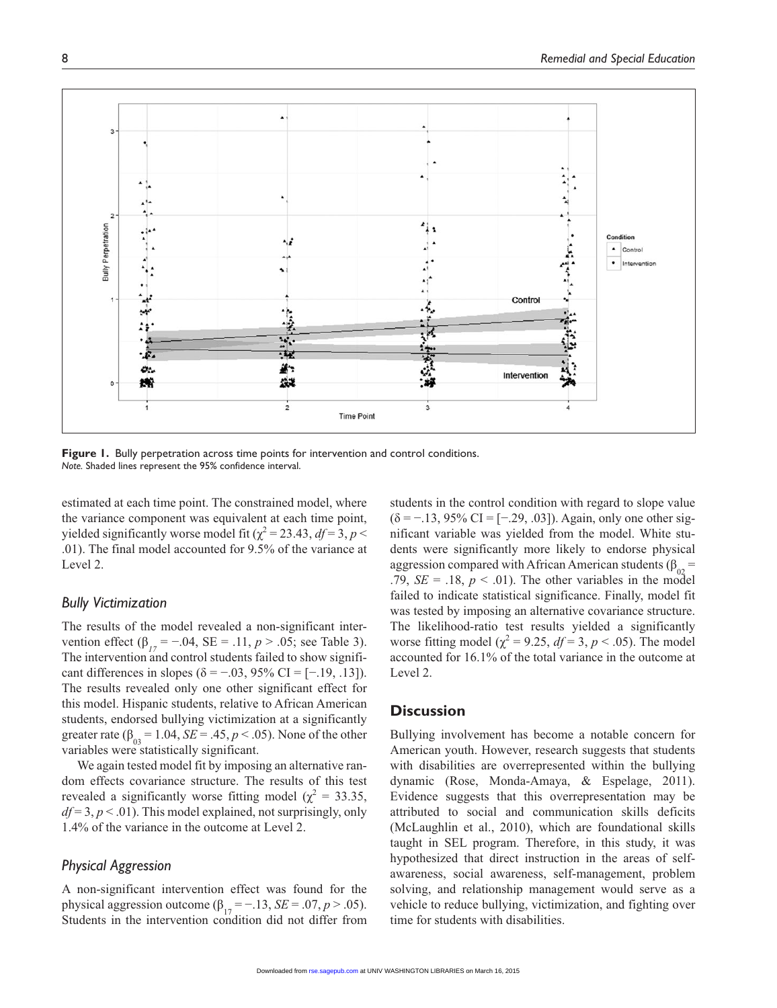

**Figure 1.** Bully perpetration across time points for intervention and control conditions. *Note.* Shaded lines represent the 95% confidence interval.

estimated at each time point. The constrained model, where the variance component was equivalent at each time point, yielded significantly worse model fit ( $\chi^2$  = 23.43, *df* = 3, *p* < .01). The final model accounted for 9.5% of the variance at Level 2.

## *Bully Victimization*

The results of the model revealed a non-significant intervention effect ( $\beta_{17} = -.04$ , SE = .11,  $p > .05$ ; see Table 3). The intervention and control students failed to show significant differences in slopes ( $\delta = -0.03$ , 95% CI = [-.19, .13]). The results revealed only one other significant effect for this model. Hispanic students, relative to African American students, endorsed bullying victimization at a significantly greater rate (β<sub>03</sub> = 1.04, *SE* = .45, *p* < .05). None of the other variables were statistically significant.

We again tested model fit by imposing an alternative random effects covariance structure. The results of this test revealed a significantly worse fitting model ( $\chi^2 = 33.35$ ,  $df = 3$ ,  $p < .01$ ). This model explained, not surprisingly, only 1.4% of the variance in the outcome at Level 2.

## *Physical Aggression*

A non-significant intervention effect was found for the physical aggression outcome (β<sub>17</sub> = −.13, *SE* = .07, *p* > .05). Students in the intervention condition did not differ from

students in the control condition with regard to slope value  $(\delta = -13, 95\% \text{ CI} = [-29, .03])$ . Again, only one other significant variable was yielded from the model. White students were significantly more likely to endorse physical aggression compared with African American students ( $β<sub>02</sub> =$ .79,  $SE = .18$ ,  $p < .01$ ). The other variables in the model failed to indicate statistical significance. Finally, model fit was tested by imposing an alternative covariance structure. The likelihood-ratio test results yielded a significantly worse fitting model ( $\chi^2$  = 9.25,  $df$  = 3,  $p$  < .05). The model accounted for 16.1% of the total variance in the outcome at Level 2.

## **Discussion**

Bullying involvement has become a notable concern for American youth. However, research suggests that students with disabilities are overrepresented within the bullying dynamic (Rose, Monda-Amaya, & Espelage, 2011). Evidence suggests that this overrepresentation may be attributed to social and communication skills deficits (McLaughlin et al., 2010), which are foundational skills taught in SEL program. Therefore, in this study, it was hypothesized that direct instruction in the areas of selfawareness, social awareness, self-management, problem solving, and relationship management would serve as a vehicle to reduce bullying, victimization, and fighting over time for students with disabilities.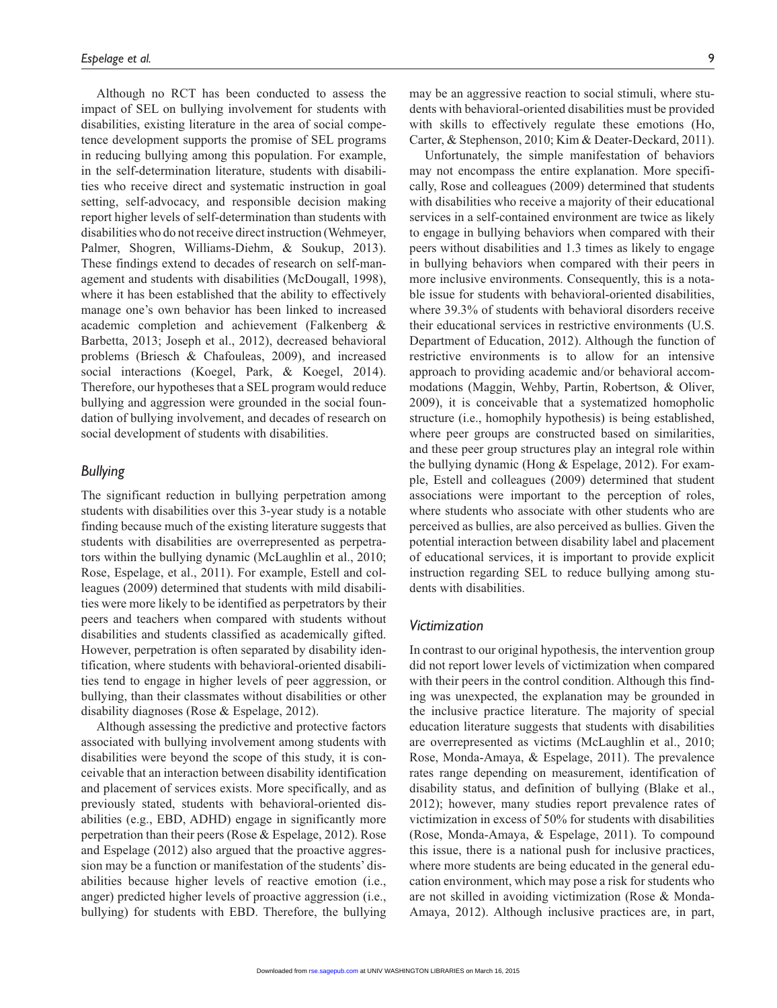Although no RCT has been conducted to assess the impact of SEL on bullying involvement for students with disabilities, existing literature in the area of social competence development supports the promise of SEL programs in reducing bullying among this population. For example, in the self-determination literature, students with disabilities who receive direct and systematic instruction in goal setting, self-advocacy, and responsible decision making report higher levels of self-determination than students with disabilities who do not receive direct instruction (Wehmeyer, Palmer, Shogren, Williams-Diehm, & Soukup, 2013). These findings extend to decades of research on self-management and students with disabilities (McDougall, 1998), where it has been established that the ability to effectively manage one's own behavior has been linked to increased academic completion and achievement (Falkenberg & Barbetta, 2013; Joseph et al., 2012), decreased behavioral problems (Briesch & Chafouleas, 2009), and increased social interactions (Koegel, Park, & Koegel, 2014). Therefore, our hypotheses that a SEL program would reduce bullying and aggression were grounded in the social foundation of bullying involvement, and decades of research on social development of students with disabilities.

## *Bullying*

The significant reduction in bullying perpetration among students with disabilities over this 3-year study is a notable finding because much of the existing literature suggests that students with disabilities are overrepresented as perpetrators within the bullying dynamic (McLaughlin et al., 2010; Rose, Espelage, et al., 2011). For example, Estell and colleagues (2009) determined that students with mild disabilities were more likely to be identified as perpetrators by their peers and teachers when compared with students without disabilities and students classified as academically gifted. However, perpetration is often separated by disability identification, where students with behavioral-oriented disabilities tend to engage in higher levels of peer aggression, or bullying, than their classmates without disabilities or other disability diagnoses (Rose & Espelage, 2012).

Although assessing the predictive and protective factors associated with bullying involvement among students with disabilities were beyond the scope of this study, it is conceivable that an interaction between disability identification and placement of services exists. More specifically, and as previously stated, students with behavioral-oriented disabilities (e.g., EBD, ADHD) engage in significantly more perpetration than their peers (Rose & Espelage, 2012). Rose and Espelage (2012) also argued that the proactive aggression may be a function or manifestation of the students' disabilities because higher levels of reactive emotion (i.e., anger) predicted higher levels of proactive aggression (i.e., bullying) for students with EBD. Therefore, the bullying

may be an aggressive reaction to social stimuli, where students with behavioral-oriented disabilities must be provided with skills to effectively regulate these emotions (Ho, Carter, & Stephenson, 2010; Kim & Deater-Deckard, 2011).

Unfortunately, the simple manifestation of behaviors may not encompass the entire explanation. More specifically, Rose and colleagues (2009) determined that students with disabilities who receive a majority of their educational services in a self-contained environment are twice as likely to engage in bullying behaviors when compared with their peers without disabilities and 1.3 times as likely to engage in bullying behaviors when compared with their peers in more inclusive environments. Consequently, this is a notable issue for students with behavioral-oriented disabilities, where 39.3% of students with behavioral disorders receive their educational services in restrictive environments (U.S. Department of Education, 2012). Although the function of restrictive environments is to allow for an intensive approach to providing academic and/or behavioral accommodations (Maggin, Wehby, Partin, Robertson, & Oliver, 2009), it is conceivable that a systematized homopholic structure (i.e., homophily hypothesis) is being established, where peer groups are constructed based on similarities, and these peer group structures play an integral role within the bullying dynamic (Hong & Espelage, 2012). For example, Estell and colleagues (2009) determined that student associations were important to the perception of roles, where students who associate with other students who are perceived as bullies, are also perceived as bullies. Given the potential interaction between disability label and placement of educational services, it is important to provide explicit instruction regarding SEL to reduce bullying among students with disabilities.

#### *Victimization*

In contrast to our original hypothesis, the intervention group did not report lower levels of victimization when compared with their peers in the control condition. Although this finding was unexpected, the explanation may be grounded in the inclusive practice literature. The majority of special education literature suggests that students with disabilities are overrepresented as victims (McLaughlin et al., 2010; Rose, Monda-Amaya, & Espelage, 2011). The prevalence rates range depending on measurement, identification of disability status, and definition of bullying (Blake et al., 2012); however, many studies report prevalence rates of victimization in excess of 50% for students with disabilities (Rose, Monda-Amaya, & Espelage, 2011). To compound this issue, there is a national push for inclusive practices, where more students are being educated in the general education environment, which may pose a risk for students who are not skilled in avoiding victimization (Rose & Monda-Amaya, 2012). Although inclusive practices are, in part,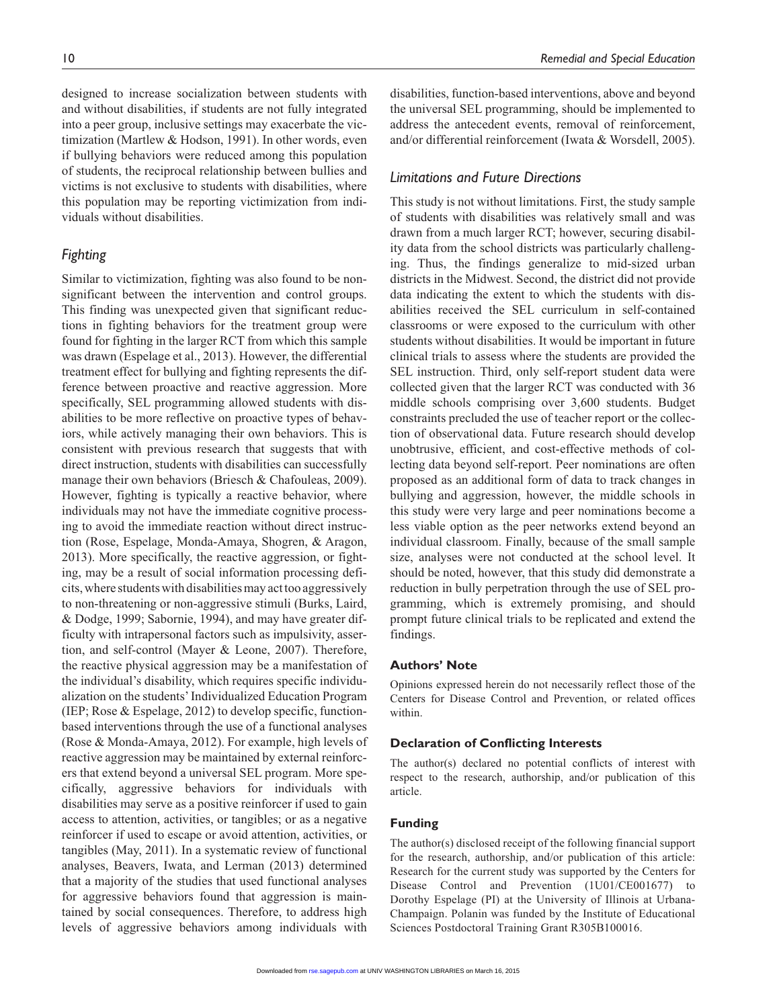designed to increase socialization between students with and without disabilities, if students are not fully integrated into a peer group, inclusive settings may exacerbate the victimization (Martlew & Hodson, 1991). In other words, even if bullying behaviors were reduced among this population of students, the reciprocal relationship between bullies and victims is not exclusive to students with disabilities, where this population may be reporting victimization from individuals without disabilities.

#### *Fighting*

Similar to victimization, fighting was also found to be nonsignificant between the intervention and control groups. This finding was unexpected given that significant reductions in fighting behaviors for the treatment group were found for fighting in the larger RCT from which this sample was drawn (Espelage et al., 2013). However, the differential treatment effect for bullying and fighting represents the difference between proactive and reactive aggression. More specifically, SEL programming allowed students with disabilities to be more reflective on proactive types of behaviors, while actively managing their own behaviors. This is consistent with previous research that suggests that with direct instruction, students with disabilities can successfully manage their own behaviors (Briesch & Chafouleas, 2009). However, fighting is typically a reactive behavior, where individuals may not have the immediate cognitive processing to avoid the immediate reaction without direct instruction (Rose, Espelage, Monda-Amaya, Shogren, & Aragon, 2013). More specifically, the reactive aggression, or fighting, may be a result of social information processing deficits, where students with disabilities may act too aggressively to non-threatening or non-aggressive stimuli (Burks, Laird, & Dodge, 1999; Sabornie, 1994), and may have greater difficulty with intrapersonal factors such as impulsivity, assertion, and self-control (Mayer & Leone, 2007). Therefore, the reactive physical aggression may be a manifestation of the individual's disability, which requires specific individualization on the students' Individualized Education Program (IEP; Rose & Espelage, 2012) to develop specific, functionbased interventions through the use of a functional analyses (Rose & Monda-Amaya, 2012). For example, high levels of reactive aggression may be maintained by external reinforcers that extend beyond a universal SEL program. More specifically, aggressive behaviors for individuals with disabilities may serve as a positive reinforcer if used to gain access to attention, activities, or tangibles; or as a negative reinforcer if used to escape or avoid attention, activities, or tangibles (May, 2011). In a systematic review of functional analyses, Beavers, Iwata, and Lerman (2013) determined that a majority of the studies that used functional analyses for aggressive behaviors found that aggression is maintained by social consequences. Therefore, to address high levels of aggressive behaviors among individuals with

disabilities, function-based interventions, above and beyond the universal SEL programming, should be implemented to address the antecedent events, removal of reinforcement, and/or differential reinforcement (Iwata & Worsdell, 2005).

#### *Limitations and Future Directions*

This study is not without limitations. First, the study sample of students with disabilities was relatively small and was drawn from a much larger RCT; however, securing disability data from the school districts was particularly challenging. Thus, the findings generalize to mid-sized urban districts in the Midwest. Second, the district did not provide data indicating the extent to which the students with disabilities received the SEL curriculum in self-contained classrooms or were exposed to the curriculum with other students without disabilities. It would be important in future clinical trials to assess where the students are provided the SEL instruction. Third, only self-report student data were collected given that the larger RCT was conducted with 36 middle schools comprising over 3,600 students. Budget constraints precluded the use of teacher report or the collection of observational data. Future research should develop unobtrusive, efficient, and cost-effective methods of collecting data beyond self-report. Peer nominations are often proposed as an additional form of data to track changes in bullying and aggression, however, the middle schools in this study were very large and peer nominations become a less viable option as the peer networks extend beyond an individual classroom. Finally, because of the small sample size, analyses were not conducted at the school level. It should be noted, however, that this study did demonstrate a reduction in bully perpetration through the use of SEL programming, which is extremely promising, and should prompt future clinical trials to be replicated and extend the findings.

#### **Authors' Note**

Opinions expressed herein do not necessarily reflect those of the Centers for Disease Control and Prevention, or related offices within.

#### **Declaration of Conflicting Interests**

The author(s) declared no potential conflicts of interest with respect to the research, authorship, and/or publication of this article.

#### **Funding**

The author(s) disclosed receipt of the following financial support for the research, authorship, and/or publication of this article: Research for the current study was supported by the Centers for Disease Control and Prevention (1U01/CE001677) to Dorothy Espelage (PI) at the University of Illinois at Urbana-Champaign. Polanin was funded by the Institute of Educational Sciences Postdoctoral Training Grant R305B100016.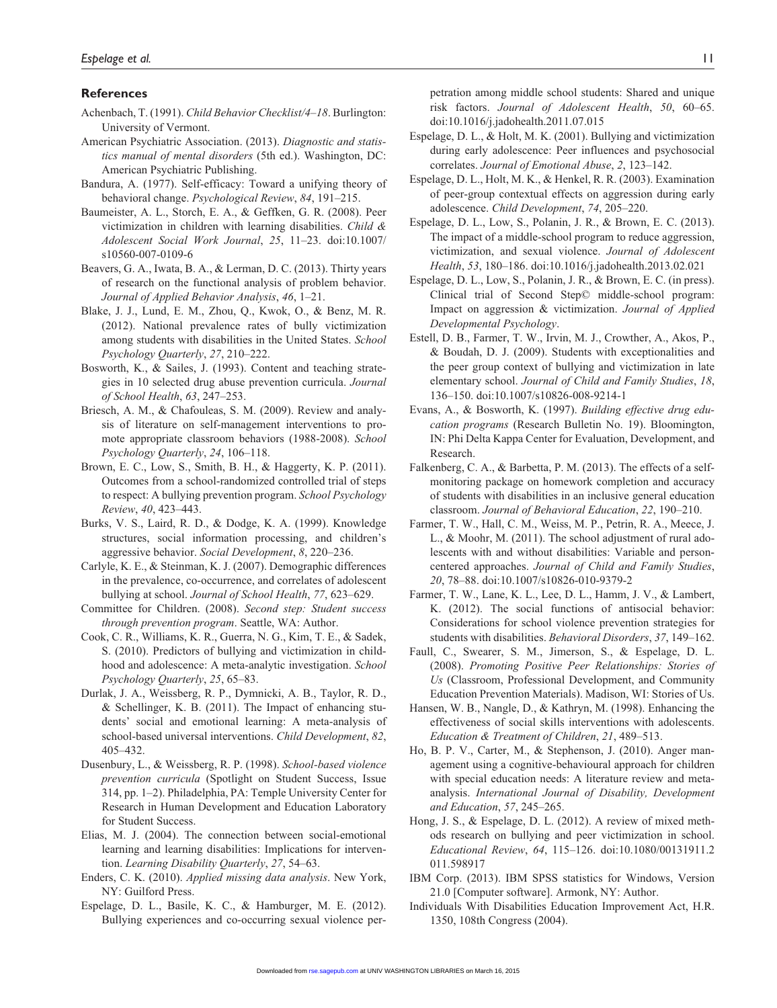#### **References**

- Achenbach, T. (1991). *Child Behavior Checklist/4–18*. Burlington: University of Vermont.
- American Psychiatric Association. (2013). *Diagnostic and statistics manual of mental disorders* (5th ed.). Washington, DC: American Psychiatric Publishing.
- Bandura, A. (1977). Self-efficacy: Toward a unifying theory of behavioral change. *Psychological Review*, *84*, 191–215.
- Baumeister, A. L., Storch, E. A., & Geffken, G. R. (2008). Peer victimization in children with learning disabilities. *Child & Adolescent Social Work Journal*, *25*, 11–23. doi:10.1007/ s10560-007-0109-6
- Beavers, G. A., Iwata, B. A., & Lerman, D. C. (2013). Thirty years of research on the functional analysis of problem behavior. *Journal of Applied Behavior Analysis*, *46*, 1–21.
- Blake, J. J., Lund, E. M., Zhou, Q., Kwok, O., & Benz, M. R. (2012). National prevalence rates of bully victimization among students with disabilities in the United States. *School Psychology Quarterly*, *27*, 210–222.
- Bosworth, K., & Sailes, J. (1993). Content and teaching strategies in 10 selected drug abuse prevention curricula. *Journal of School Health*, *63*, 247–253.
- Briesch, A. M., & Chafouleas, S. M. (2009). Review and analysis of literature on self-management interventions to promote appropriate classroom behaviors (1988-2008). *School Psychology Quarterly*, *24*, 106–118.
- Brown, E. C., Low, S., Smith, B. H., & Haggerty, K. P. (2011). Outcomes from a school-randomized controlled trial of steps to respect: A bullying prevention program. *School Psychology Review*, *40*, 423–443.
- Burks, V. S., Laird, R. D., & Dodge, K. A. (1999). Knowledge structures, social information processing, and children's aggressive behavior. *Social Development*, *8*, 220–236.
- Carlyle, K. E., & Steinman, K. J. (2007). Demographic differences in the prevalence, co-occurrence, and correlates of adolescent bullying at school. *Journal of School Health*, *77*, 623–629.
- Committee for Children. (2008). *Second step: Student success through prevention program*. Seattle, WA: Author.
- Cook, C. R., Williams, K. R., Guerra, N. G., Kim, T. E., & Sadek, S. (2010). Predictors of bullying and victimization in childhood and adolescence: A meta-analytic investigation. *School Psychology Quarterly*, *25*, 65–83.
- Durlak, J. A., Weissberg, R. P., Dymnicki, A. B., Taylor, R. D., & Schellinger, K. B. (2011). The Impact of enhancing students' social and emotional learning: A meta-analysis of school-based universal interventions. *Child Development*, *82*, 405–432.
- Dusenbury, L., & Weissberg, R. P. (1998). *School-based violence prevention curricula* (Spotlight on Student Success, Issue 314, pp. 1–2). Philadelphia, PA: Temple University Center for Research in Human Development and Education Laboratory for Student Success.
- Elias, M. J. (2004). The connection between social-emotional learning and learning disabilities: Implications for intervention. *Learning Disability Quarterly*, *27*, 54–63.
- Enders, C. K. (2010). *Applied missing data analysis*. New York, NY: Guilford Press.
- Espelage, D. L., Basile, K. C., & Hamburger, M. E. (2012). Bullying experiences and co-occurring sexual violence per-

petration among middle school students: Shared and unique risk factors. *Journal of Adolescent Health*, *50*, 60–65. doi:10.1016/j.jadohealth.2011.07.015

- Espelage, D. L., & Holt, M. K. (2001). Bullying and victimization during early adolescence: Peer influences and psychosocial correlates. *Journal of Emotional Abuse*, *2*, 123–142.
- Espelage, D. L., Holt, M. K., & Henkel, R. R. (2003). Examination of peer-group contextual effects on aggression during early adolescence. *Child Development*, *74*, 205–220.
- Espelage, D. L., Low, S., Polanin, J. R., & Brown, E. C. (2013). The impact of a middle-school program to reduce aggression, victimization, and sexual violence. *Journal of Adolescent Health*, *53*, 180–186. doi:10.1016/j.jadohealth.2013.02.021
- Espelage, D. L., Low, S., Polanin, J. R., & Brown, E. C. (in press). Clinical trial of Second Step© middle-school program: Impact on aggression & victimization. *Journal of Applied Developmental Psychology*.
- Estell, D. B., Farmer, T. W., Irvin, M. J., Crowther, A., Akos, P., & Boudah, D. J. (2009). Students with exceptionalities and the peer group context of bullying and victimization in late elementary school. *Journal of Child and Family Studies*, *18*, 136–150. doi:10.1007/s10826-008-9214-1
- Evans, A., & Bosworth, K. (1997). *Building effective drug education programs* (Research Bulletin No. 19). Bloomington, IN: Phi Delta Kappa Center for Evaluation, Development, and Research.
- Falkenberg, C. A., & Barbetta, P. M. (2013). The effects of a selfmonitoring package on homework completion and accuracy of students with disabilities in an inclusive general education classroom. *Journal of Behavioral Education*, *22*, 190–210.
- Farmer, T. W., Hall, C. M., Weiss, M. P., Petrin, R. A., Meece, J. L., & Moohr, M. (2011). The school adjustment of rural adolescents with and without disabilities: Variable and personcentered approaches. *Journal of Child and Family Studies*, *20*, 78–88. doi:10.1007/s10826-010-9379-2
- Farmer, T. W., Lane, K. L., Lee, D. L., Hamm, J. V., & Lambert, K. (2012). The social functions of antisocial behavior: Considerations for school violence prevention strategies for students with disabilities. *Behavioral Disorders*, *37*, 149–162.
- Faull, C., Swearer, S. M., Jimerson, S., & Espelage, D. L. (2008). *Promoting Positive Peer Relationships: Stories of Us* (Classroom, Professional Development, and Community Education Prevention Materials). Madison, WI: Stories of Us.
- Hansen, W. B., Nangle, D., & Kathryn, M. (1998). Enhancing the effectiveness of social skills interventions with adolescents. *Education & Treatment of Children*, *21*, 489–513.
- Ho, B. P. V., Carter, M., & Stephenson, J. (2010). Anger management using a cognitive-behavioural approach for children with special education needs: A literature review and metaanalysis. *International Journal of Disability, Development and Education*, *57*, 245–265.
- Hong, J. S., & Espelage, D. L. (2012). A review of mixed methods research on bullying and peer victimization in school. *Educational Review*, *64*, 115–126. doi:10.1080/00131911.2 011.598917
- IBM Corp. (2013). IBM SPSS statistics for Windows, Version 21.0 [Computer software]. Armonk, NY: Author.
- Individuals With Disabilities Education Improvement Act, H.R. 1350, 108th Congress (2004).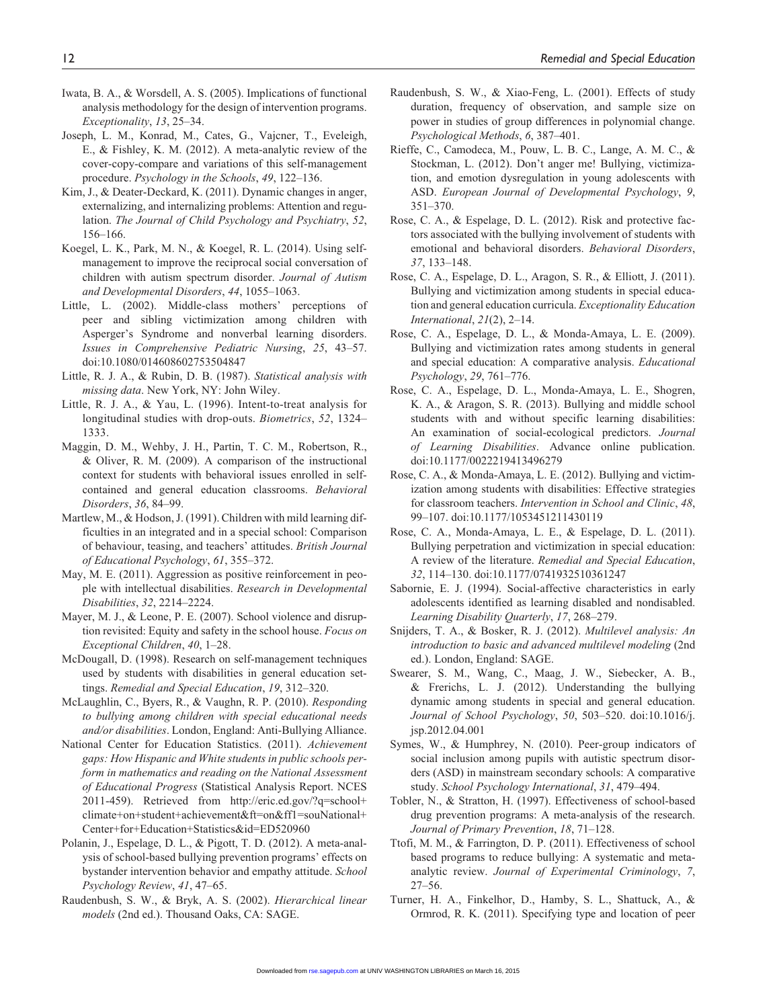- Iwata, B. A., & Worsdell, A. S. (2005). Implications of functional analysis methodology for the design of intervention programs. *Exceptionality*, *13*, 25–34.
- Joseph, L. M., Konrad, M., Cates, G., Vajcner, T., Eveleigh, E., & Fishley, K. M. (2012). A meta-analytic review of the cover-copy-compare and variations of this self-management procedure. *Psychology in the Schools*, *49*, 122–136.
- Kim, J., & Deater-Deckard, K. (2011). Dynamic changes in anger, externalizing, and internalizing problems: Attention and regulation. *The Journal of Child Psychology and Psychiatry*, *52*, 156–166.
- Koegel, L. K., Park, M. N., & Koegel, R. L. (2014). Using selfmanagement to improve the reciprocal social conversation of children with autism spectrum disorder. *Journal of Autism and Developmental Disorders*, *44*, 1055–1063.
- Little, L. (2002). Middle-class mothers' perceptions of peer and sibling victimization among children with Asperger's Syndrome and nonverbal learning disorders. *Issues in Comprehensive Pediatric Nursing*, *25*, 43–57. doi:10.1080/014608602753504847
- Little, R. J. A., & Rubin, D. B. (1987). *Statistical analysis with missing data*. New York, NY: John Wiley.
- Little, R. J. A., & Yau, L. (1996). Intent-to-treat analysis for longitudinal studies with drop-outs. *Biometrics*, *52*, 1324– 1333.
- Maggin, D. M., Wehby, J. H., Partin, T. C. M., Robertson, R., & Oliver, R. M. (2009). A comparison of the instructional context for students with behavioral issues enrolled in selfcontained and general education classrooms. *Behavioral Disorders*, *36*, 84–99.
- Martlew, M., & Hodson, J. (1991). Children with mild learning difficulties in an integrated and in a special school: Comparison of behaviour, teasing, and teachers' attitudes. *British Journal of Educational Psychology*, *61*, 355–372.
- May, M. E. (2011). Aggression as positive reinforcement in people with intellectual disabilities. *Research in Developmental Disabilities*, *32*, 2214–2224.
- Mayer, M. J., & Leone, P. E. (2007). School violence and disruption revisited: Equity and safety in the school house. *Focus on Exceptional Children*, *40*, 1–28.
- McDougall, D. (1998). Research on self-management techniques used by students with disabilities in general education settings. *Remedial and Special Education*, *19*, 312–320.
- McLaughlin, C., Byers, R., & Vaughn, R. P. (2010). *Responding to bullying among children with special educational needs and/or disabilities*. London, England: Anti-Bullying Alliance.
- National Center for Education Statistics. (2011). *Achievement gaps: How Hispanic and White students in public schools perform in mathematics and reading on the National Assessment of Educational Progress* (Statistical Analysis Report. NCES 2011-459). Retrieved from [http://eric.ed.gov/?q=school+](http://eric.ed.gov/?q=school+climate+on+student+achievement&ft=on&ff1=souNational+Center+for+Education+Statistics&id=ED520960) [climate+on+student+achievement&ft=on&ff1=souNational+](http://eric.ed.gov/?q=school+climate+on+student+achievement&ft=on&ff1=souNational+Center+for+Education+Statistics&id=ED520960) [Center+for+Education+Statistics&id=ED520960](http://eric.ed.gov/?q=school+climate+on+student+achievement&ft=on&ff1=souNational+Center+for+Education+Statistics&id=ED520960)
- Polanin, J., Espelage, D. L., & Pigott, T. D. (2012). A meta-analysis of school-based bullying prevention programs' effects on bystander intervention behavior and empathy attitude. *School Psychology Review*, *41*, 47–65.
- Raudenbush, S. W., & Bryk, A. S. (2002). *Hierarchical linear models* (2nd ed.). Thousand Oaks, CA: SAGE.
- Raudenbush, S. W., & Xiao-Feng, L. (2001). Effects of study duration, frequency of observation, and sample size on power in studies of group differences in polynomial change. *Psychological Methods*, *6*, 387–401.
- Rieffe, C., Camodeca, M., Pouw, L. B. C., Lange, A. M. C., & Stockman, L. (2012). Don't anger me! Bullying, victimization, and emotion dysregulation in young adolescents with ASD. *European Journal of Developmental Psychology*, *9*, 351–370.
- Rose, C. A., & Espelage, D. L. (2012). Risk and protective factors associated with the bullying involvement of students with emotional and behavioral disorders. *Behavioral Disorders*, *37*, 133–148.
- Rose, C. A., Espelage, D. L., Aragon, S. R., & Elliott, J. (2011). Bullying and victimization among students in special education and general education curricula. *Exceptionality Education International*, *21*(2), 2–14.
- Rose, C. A., Espelage, D. L., & Monda-Amaya, L. E. (2009). Bullying and victimization rates among students in general and special education: A comparative analysis. *Educational Psychology*, *29*, 761–776.
- Rose, C. A., Espelage, D. L., Monda-Amaya, L. E., Shogren, K. A., & Aragon, S. R. (2013). Bullying and middle school students with and without specific learning disabilities: An examination of social-ecological predictors. *Journal of Learning Disabilities*. Advance online publication. doi:10.1177/0022219413496279
- Rose, C. A., & Monda-Amaya, L. E. (2012). Bullying and victimization among students with disabilities: Effective strategies for classroom teachers. *Intervention in School and Clinic*, *48*, 99–107. doi:10.1177/1053451211430119
- Rose, C. A., Monda-Amaya, L. E., & Espelage, D. L. (2011). Bullying perpetration and victimization in special education: A review of the literature. *Remedial and Special Education*, *32*, 114–130. doi:10.1177/0741932510361247
- Sabornie, E. J. (1994). Social-affective characteristics in early adolescents identified as learning disabled and nondisabled. *Learning Disability Quarterly*, *17*, 268–279.
- Snijders, T. A., & Bosker, R. J. (2012). *Multilevel analysis: An introduction to basic and advanced multilevel modeling* (2nd ed.). London, England: SAGE.
- Swearer, S. M., Wang, C., Maag, J. W., Siebecker, A. B., & Frerichs, L. J. (2012). Understanding the bullying dynamic among students in special and general education. *Journal of School Psychology*, *50*, 503–520. doi:10.1016/j. jsp.2012.04.001
- Symes, W., & Humphrey, N. (2010). Peer-group indicators of social inclusion among pupils with autistic spectrum disorders (ASD) in mainstream secondary schools: A comparative study. *School Psychology International*, *31*, 479–494.
- Tobler, N., & Stratton, H. (1997). Effectiveness of school-based drug prevention programs: A meta-analysis of the research. *Journal of Primary Prevention*, *18*, 71–128.
- Ttofi, M. M., & Farrington, D. P. (2011). Effectiveness of school based programs to reduce bullying: A systematic and metaanalytic review. *Journal of Experimental Criminology*, *7*, 27–56.
- Turner, H. A., Finkelhor, D., Hamby, S. L., Shattuck, A., & Ormrod, R. K. (2011). Specifying type and location of peer